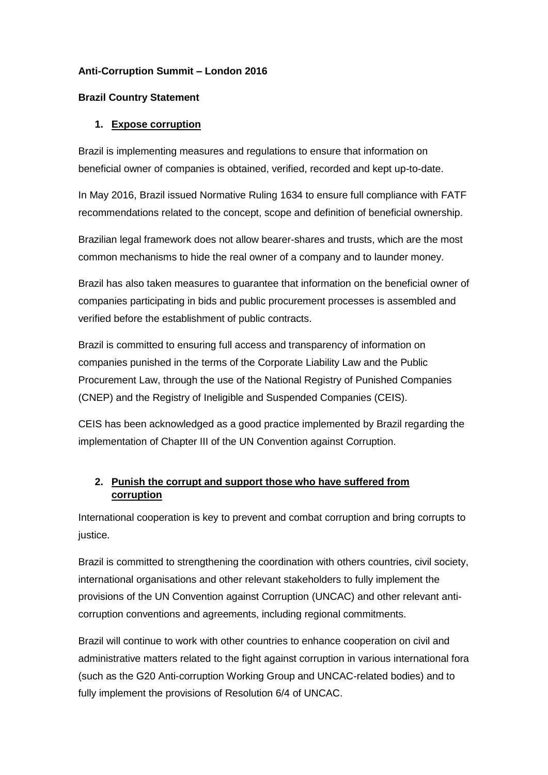# **Anti-Corruption Summit – London 2016**

# **Brazil Country Statement**

# **1. Expose corruption**

Brazil is implementing measures and regulations to ensure that information on beneficial owner of companies is obtained, verified, recorded and kept up-to-date.

In May 2016, Brazil issued Normative Ruling 1634 to ensure full compliance with FATF recommendations related to the concept, scope and definition of beneficial ownership.

Brazilian legal framework does not allow bearer-shares and trusts, which are the most common mechanisms to hide the real owner of a company and to launder money.

Brazil has also taken measures to guarantee that information on the beneficial owner of companies participating in bids and public procurement processes is assembled and verified before the establishment of public contracts.

Brazil is committed to ensuring full access and transparency of information on companies punished in the terms of the Corporate Liability Law and the Public Procurement Law, through the use of the National Registry of Punished Companies (CNEP) and the Registry of Ineligible and Suspended Companies (CEIS).

CEIS has been acknowledged as a good practice implemented by Brazil regarding the implementation of Chapter III of the UN Convention against Corruption.

# **2. Punish the corrupt and support those who have suffered from corruption**

International cooperation is key to prevent and combat corruption and bring corrupts to justice.

Brazil is committed to strengthening the coordination with others countries, civil society, international organisations and other relevant stakeholders to fully implement the provisions of the UN Convention against Corruption (UNCAC) and other relevant anticorruption conventions and agreements, including regional commitments.

Brazil will continue to work with other countries to enhance cooperation on civil and administrative matters related to the fight against corruption in various international fora (such as the G20 Anti-corruption Working Group and UNCAC-related bodies) and to fully implement the provisions of Resolution 6/4 of UNCAC.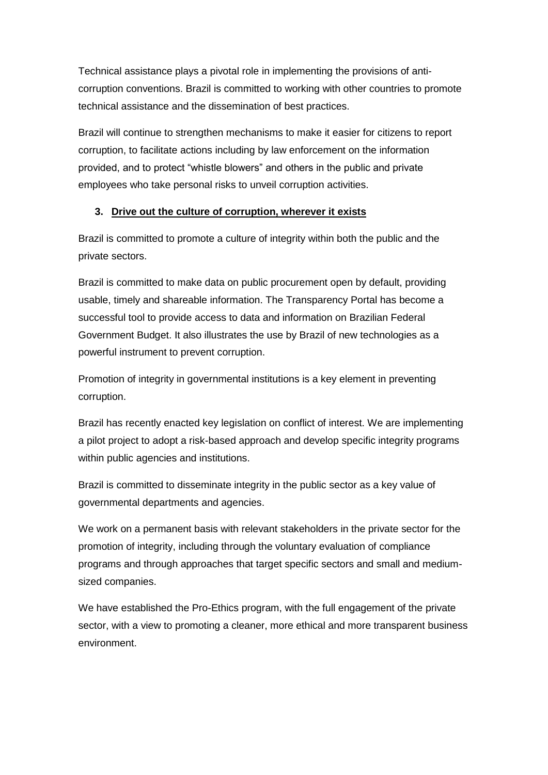Technical assistance plays a pivotal role in implementing the provisions of anticorruption conventions. Brazil is committed to working with other countries to promote technical assistance and the dissemination of best practices.

Brazil will continue to strengthen mechanisms to make it easier for citizens to report corruption, to facilitate actions including by law enforcement on the information provided, and to protect "whistle blowers" and others in the public and private employees who take personal risks to unveil corruption activities.

#### **3. Drive out the culture of corruption, wherever it exists**

Brazil is committed to promote a culture of integrity within both the public and the private sectors.

Brazil is committed to make data on public procurement open by default, providing usable, timely and shareable information. The Transparency Portal has become a successful tool to provide access to data and information on Brazilian Federal Government Budget. It also illustrates the use by Brazil of new technologies as a powerful instrument to prevent corruption.

Promotion of integrity in governmental institutions is a key element in preventing corruption.

Brazil has recently enacted key legislation on conflict of interest. We are implementing a pilot project to adopt a risk-based approach and develop specific integrity programs within public agencies and institutions.

Brazil is committed to disseminate integrity in the public sector as a key value of governmental departments and agencies.

We work on a permanent basis with relevant stakeholders in the private sector for the promotion of integrity, including through the voluntary evaluation of compliance programs and through approaches that target specific sectors and small and mediumsized companies.

We have established the Pro-Ethics program, with the full engagement of the private sector, with a view to promoting a cleaner, more ethical and more transparent business environment.